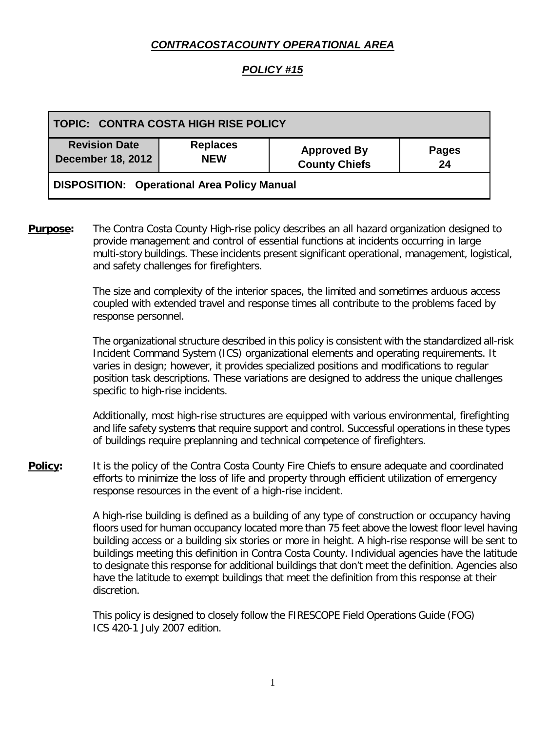### *CONTRACOSTACOUNTY OPERATIONAL AREA*

### *POLICY #15*

| TOPIC: CONTRA COSTA HIGH RISE POLICY               |                               |                                            |                    |  |  |  |  |  |  |  |  |
|----------------------------------------------------|-------------------------------|--------------------------------------------|--------------------|--|--|--|--|--|--|--|--|
| <b>Revision Date</b><br><b>December 18, 2012</b>   | <b>Replaces</b><br><b>NEW</b> | <b>Approved By</b><br><b>County Chiefs</b> | <b>Pages</b><br>24 |  |  |  |  |  |  |  |  |
| <b>DISPOSITION: Operational Area Policy Manual</b> |                               |                                            |                    |  |  |  |  |  |  |  |  |

**Purpose:** The Contra Costa County High-rise policy describes an all hazard organization designed to provide management and control of essential functions at incidents occurring in large multi-story buildings. These incidents present significant operational, management, logistical, and safety challenges for firefighters.

> The size and complexity of the interior spaces, the limited and sometimes arduous access coupled with extended travel and response times all contribute to the problems faced by response personnel.

The organizational structure described in this policy is consistent with the standardized all-risk Incident Command System (ICS) organizational elements and operating requirements. It varies in design; however, it provides specialized positions and modifications to regular position task descriptions. These variations are designed to address the unique challenges specific to high-rise incidents.

Additionally, most high-rise structures are equipped with various environmental, firefighting and life safety systems that require support and control. Successful operations in these types of buildings require preplanning and technical competence of firefighters.

**Policy:** It is the policy of the Contra Costa County Fire Chiefs to ensure adequate and coordinated efforts to minimize the loss of life and property through efficient utilization of emergency response resources in the event of a high-rise incident.

> A high-rise building is defined as a building of any type of construction or occupancy having floors used for human occupancy located more than 75 feet above the lowest floor level having building access or a building six stories or more in height. A high-rise response will be sent to buildings meeting this definition in Contra Costa County. Individual agencies have the latitude to designate this response for additional buildings that don't meet the definition. Agencies also have the latitude to exempt buildings that meet the definition from this response at their discretion.

This policy is designed to closely follow the FIRESCOPE Field Operations Guide (FOG) ICS 420-1 July 2007 edition.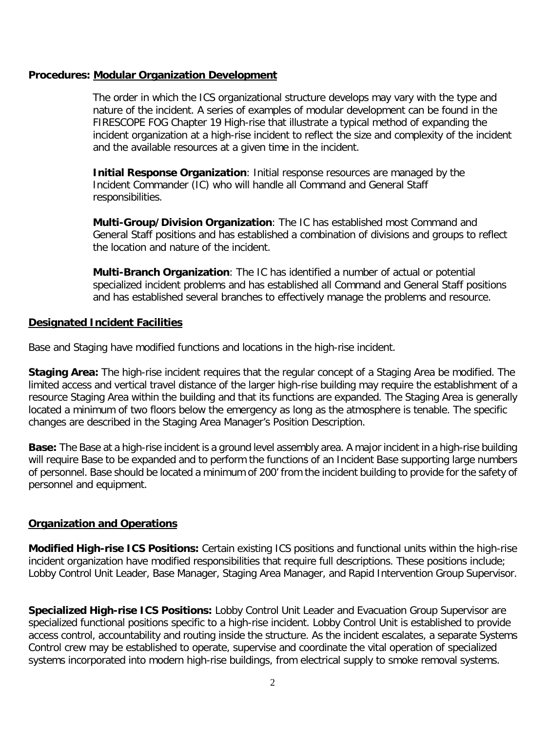#### **Procedures: Modular Organization Development**

The order in which the ICS organizational structure develops may vary with the type and nature of the incident. A series of examples of modular development can be found in the FIRESCOPE FOG Chapter 19 High-rise that illustrate a typical method of expanding the incident organization at a high-rise incident to reflect the size and complexity of the incident and the available resources at a given time in the incident.

**Initial Response Organization**: Initial response resources are managed by the Incident Commander (IC) who will handle all Command and General Staff responsibilities.

**Multi-Group/Division Organization**: The IC has established most Command and General Staff positions and has established a combination of divisions and groups to reflect the location and nature of the incident.

**Multi-Branch Organization**: The IC has identified a number of actual or potential specialized incident problems and has established all Command and General Staff positions and has established several branches to effectively manage the problems and resource.

#### **Designated Incident Facilities**

Base and Staging have modified functions and locations in the high-rise incident.

**Staging Area:** The high-rise incident requires that the regular concept of a Staging Area be modified. The limited access and vertical travel distance of the larger high-rise building may require the establishment of a resource Staging Area within the building and that its functions are expanded. The Staging Area is generally located a minimum of two floors below the emergency as long as the atmosphere is tenable. The specific changes are described in the Staging Area Manager's Position Description.

**Base:** The Base at a high-rise incident is a ground level assembly area. A major incident in a high-rise building will require Base to be expanded and to perform the functions of an Incident Base supporting large numbers of personnel. Base should be located a minimum of 200' from the incident building to provide for the safety of personnel and equipment.

#### **Organization and Operations**

**Modified High-rise ICS Positions:** Certain existing ICS positions and functional units within the high-rise incident organization have modified responsibilities that require full descriptions. These positions include; Lobby Control Unit Leader, Base Manager, Staging Area Manager, and Rapid Intervention Group Supervisor.

**Specialized High-rise ICS Positions:** Lobby Control Unit Leader and Evacuation Group Supervisor are specialized functional positions specific to a high-rise incident. Lobby Control Unit is established to provide access control, accountability and routing inside the structure. As the incident escalates, a separate Systems Control crew may be established to operate, supervise and coordinate the vital operation of specialized systems incorporated into modern high-rise buildings, from electrical supply to smoke removal systems.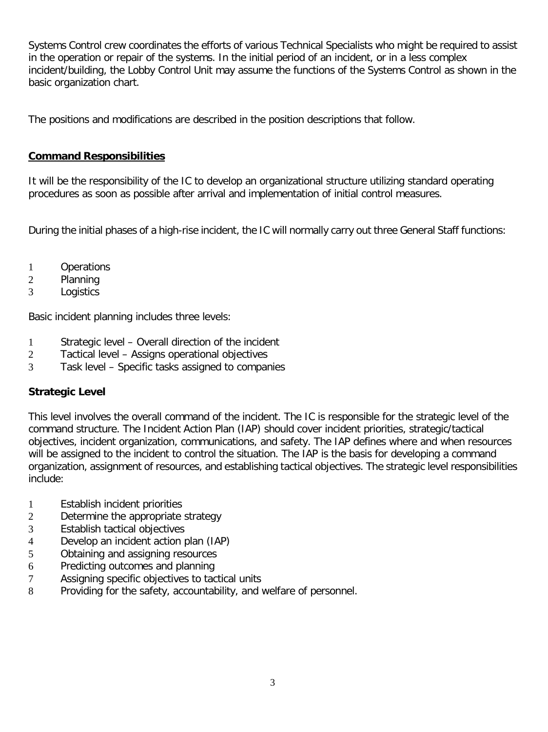Systems Control crew coordinates the efforts of various Technical Specialists who might be required to assist in the operation or repair of the systems. In the initial period of an incident, or in a less complex incident/building, the Lobby Control Unit may assume the functions of the Systems Control as shown in the basic organization chart.

The positions and modifications are described in the position descriptions that follow.

#### **Command Responsibilities**

It will be the responsibility of the IC to develop an organizational structure utilizing standard operating procedures as soon as possible after arrival and implementation of initial control measures.

During the initial phases of a high-rise incident, the IC will normally carry out three General Staff functions:

- 1 Operations
- 2 Planning
- 3 Logistics

Basic incident planning includes three levels:

- 1 Strategic level Overall direction of the incident
- 2 Tactical level Assigns operational objectives
- 3 Task level Specific tasks assigned to companies

#### **Strategic Level**

This level involves the overall command of the incident. The IC is responsible for the strategic level of the command structure. The Incident Action Plan (IAP) should cover incident priorities, strategic/tactical objectives, incident organization, communications, and safety. The IAP defines where and when resources will be assigned to the incident to control the situation. The IAP is the basis for developing a command organization, assignment of resources, and establishing tactical objectives. The strategic level responsibilities include:

- 1 Establish incident priorities
- 2 Determine the appropriate strategy
- 3 Establish tactical objectives
- 4 Develop an incident action plan (IAP)
- 5 Obtaining and assigning resources
- 6 Predicting outcomes and planning
- 7 Assigning specific objectives to tactical units
- 8 Providing for the safety, accountability, and welfare of personnel.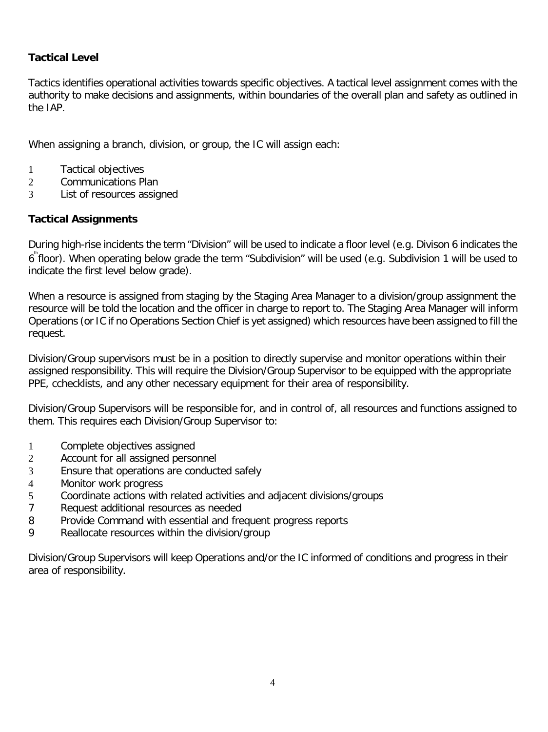#### **Tactical Level**

Tactics identifies operational activities towards specific objectives. A tactical level assignment comes with the authority to make decisions and assignments, within boundaries of the overall plan and safety as outlined in the IAP.

When assigning a branch, division, or group, the IC will assign each:

- 1 Tactical objectives
- 2 Communications Plan
- 3 List of resources assigned

#### **Tactical Assignments**

During high-rise incidents the term "Division" will be used to indicate a floor level (e.g. Divison 6 indicates the 6<sup>th</sup>floor). When operating below grade the term "Subdivision" will be used (e.g. Subdivision 1 will be used to indicate the first level below grade).

When a resource is assigned from staging by the Staging Area Manager to a division/group assignment the resource will be told the location and the officer in charge to report to. The Staging Area Manager will inform Operations (or IC if no Operations Section Chief is yet assigned) which resources have been assigned to fill the request.

Division/Group supervisors must be in a position to directly supervise and monitor operations within their assigned responsibility. This will require the Division/Group Supervisor to be equipped with the appropriate PPE, cchecklists, and any other necessary equipment for their area of responsibility.

Division/Group Supervisors will be responsible for, and in control of, all resources and functions assigned to them. This requires each Division/Group Supervisor to:

- 1 Complete objectives assigned
- 2 Account for all assigned personnel
- 3 Ensure that operations are conducted safely
- 4 Monitor work progress
- 5 Coordinate actions with related activities and adjacent divisions/groups
- 7 Request additional resources as needed
- 8 Provide Command with essential and frequent progress reports
- 9 Reallocate resources within the division/group

Division/Group Supervisors will keep Operations and/or the IC informed of conditions and progress in their area of responsibility.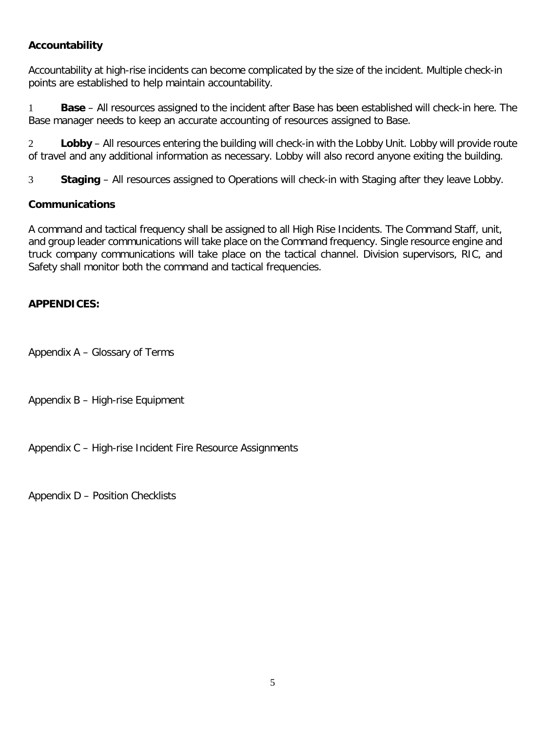#### **Accountability**

Accountability at high-rise incidents can become complicated by the size of the incident. Multiple check-in points are established to help maintain accountability.

1 **Base** – All resources assigned to the incident after Base has been established will check-in here. The Base manager needs to keep an accurate accounting of resources assigned to Base.

2 **Lobby** – All resources entering the building will check-in with the Lobby Unit. Lobby will provide route of travel and any additional information as necessary. Lobby will also record anyone exiting the building.

3 **Staging** – All resources assigned to Operations will check-in with Staging after they leave Lobby.

#### **Communications**

A command and tactical frequency shall be assigned to all High Rise Incidents. The Command Staff, unit, and group leader communications will take place on the Command frequency. Single resource engine and truck company communications will take place on the tactical channel. Division supervisors, RIC, and Safety shall monitor both the command and tactical frequencies.

#### **APPENDICES:**

Appendix A – Glossary of Terms

Appendix B – High-rise Equipment

Appendix C – High-rise Incident Fire Resource Assignments

Appendix D – Position Checklists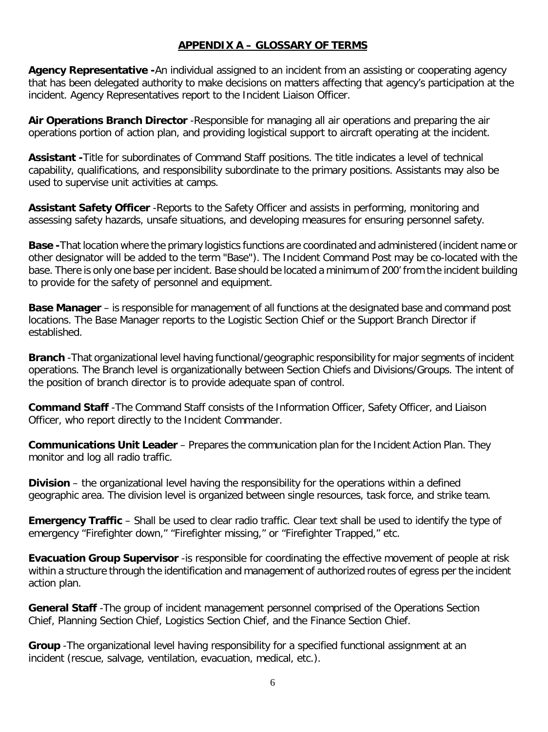#### **APPENDIX A – GLOSSARY OF TERMS**

**Agency Representative -**An individual assigned to an incident from an assisting or cooperating agency that has been delegated authority to make decisions on matters affecting that agency's participation at the incident. Agency Representatives report to the Incident Liaison Officer.

**Air Operations Branch Director** -Responsible for managing all air operations and preparing the air operations portion of action plan, and providing logistical support to aircraft operating at the incident.

**Assistant -**Title for subordinates of Command Staff positions. The title indicates a level of technical capability, qualifications, and responsibility subordinate to the primary positions. Assistants may also be used to supervise unit activities at camps.

**Assistant Safety Officer** -Reports to the Safety Officer and assists in performing, monitoring and assessing safety hazards, unsafe situations, and developing measures for ensuring personnel safety.

**Base -**That location where the primary logistics functions are coordinated and administered (incident name or other designator will be added to the term "Base"). The Incident Command Post may be co-located with the base. There is only one base per incident. Base should be located a minimum of 200' from the incident building to provide for the safety of personnel and equipment.

**Base Manager** – is responsible for management of all functions at the designated base and command post locations. The Base Manager reports to the Logistic Section Chief or the Support Branch Director if established.

**Branch** -That organizational level having functional/geographic responsibility for major segments of incident operations. The Branch level is organizationally between Section Chiefs and Divisions/Groups. The intent of the position of branch director is to provide adequate span of control.

**Command Staff** -The Command Staff consists of the Information Officer, Safety Officer, and Liaison Officer, who report directly to the Incident Commander.

**Communications Unit Leader** – Prepares the communication plan for the Incident Action Plan. They monitor and log all radio traffic.

**Division** – the organizational level having the responsibility for the operations within a defined geographic area. The division level is organized between single resources, task force, and strike team.

**Emergency Traffic** – Shall be used to clear radio traffic. Clear text shall be used to identify the type of emergency "Firefighter down," "Firefighter missing," or "Firefighter Trapped," etc.

**Evacuation Group Supervisor** -is responsible for coordinating the effective movement of people at risk within a structure through the identification and management of authorized routes of egress per the incident action plan.

**General Staff** -The group of incident management personnel comprised of the Operations Section Chief, Planning Section Chief, Logistics Section Chief, and the Finance Section Chief.

**Group** -The organizational level having responsibility for a specified functional assignment at an incident (rescue, salvage, ventilation, evacuation, medical, etc.).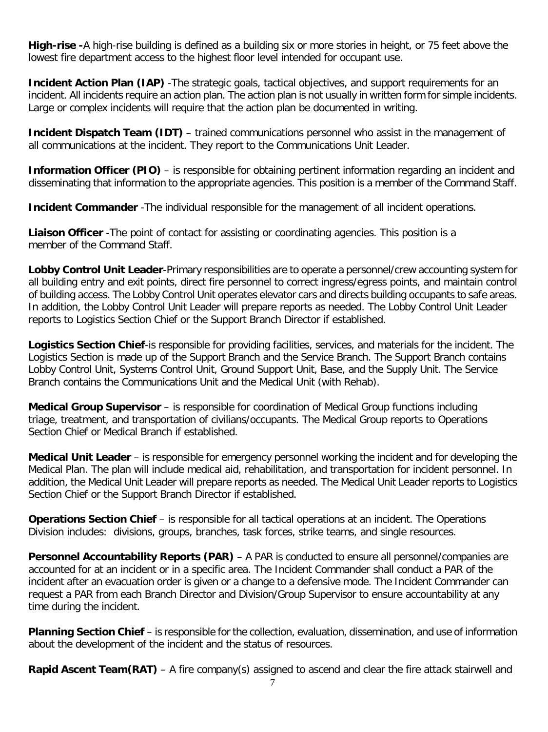**High-rise -**A high-rise building is defined as a building six or more stories in height, or 75 feet above the lowest fire department access to the highest floor level intended for occupant use.

**Incident Action Plan (IAP)** -The strategic goals, tactical objectives, and support requirements for an incident. All incidents require an action plan. The action plan is not usually in written form for simple incidents. Large or complex incidents will require that the action plan be documented in writing.

**Incident Dispatch Team (IDT)** – trained communications personnel who assist in the management of all communications at the incident. They report to the Communications Unit Leader.

**Information Officer (PIO)** – is responsible for obtaining pertinent information regarding an incident and disseminating that information to the appropriate agencies. This position is a member of the Command Staff.

**Incident Commander** - The individual responsible for the management of all incident operations.

**Liaison Officer** -The point of contact for assisting or coordinating agencies. This position is a member of the Command Staff.

**Lobby Control Unit Leader**-Primary responsibilities are to operate a personnel/crew accounting system for all building entry and exit points, direct fire personnel to correct ingress/egress points, and maintain control of building access. The Lobby Control Unit operates elevator cars and directs building occupants to safe areas. In addition, the Lobby Control Unit Leader will prepare reports as needed. The Lobby Control Unit Leader reports to Logistics Section Chief or the Support Branch Director if established.

**Logistics Section Chief**-is responsible for providing facilities, services, and materials for the incident. The Logistics Section is made up of the Support Branch and the Service Branch. The Support Branch contains Lobby Control Unit, Systems Control Unit, Ground Support Unit, Base, and the Supply Unit. The Service Branch contains the Communications Unit and the Medical Unit (with Rehab).

**Medical Group Supervisor** – is responsible for coordination of Medical Group functions including triage, treatment, and transportation of civilians/occupants. The Medical Group reports to Operations Section Chief or Medical Branch if established.

**Medical Unit Leader** – is responsible for emergency personnel working the incident and for developing the Medical Plan. The plan will include medical aid, rehabilitation, and transportation for incident personnel. In addition, the Medical Unit Leader will prepare reports as needed. The Medical Unit Leader reports to Logistics Section Chief or the Support Branch Director if established.

**Operations Section Chief** – is responsible for all tactical operations at an incident. The Operations Division includes: divisions, groups, branches, task forces, strike teams, and single resources.

**Personnel Accountability Reports (PAR)** – A PAR is conducted to ensure all personnel/companies are accounted for at an incident or in a specific area. The Incident Commander shall conduct a PAR of the incident after an evacuation order is given or a change to a defensive mode. The Incident Commander can request a PAR from each Branch Director and Division/Group Supervisor to ensure accountability at any time during the incident.

**Planning Section Chief** – is responsible for the collection, evaluation, dissemination, and use of information about the development of the incident and the status of resources.

**Rapid Ascent Team(RAT)** – A fire company(s) assigned to ascend and clear the fire attack stairwell and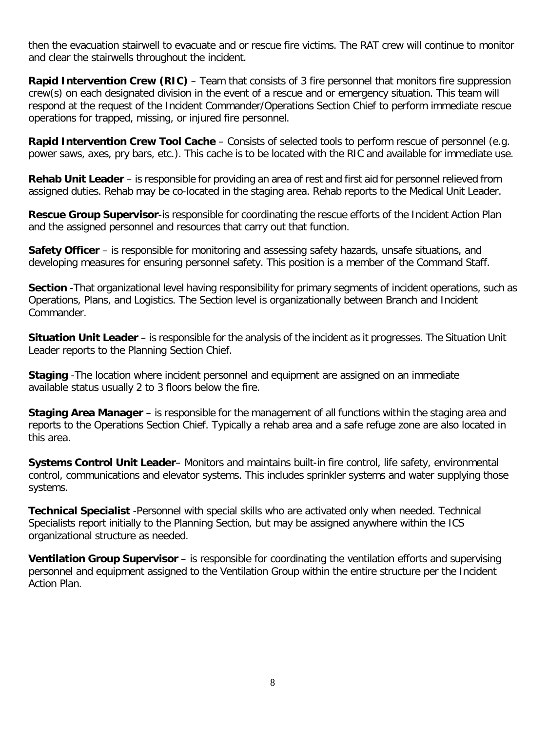then the evacuation stairwell to evacuate and or rescue fire victims. The RAT crew will continue to monitor and clear the stairwells throughout the incident.

**Rapid Intervention Crew (RIC)** – Team that consists of 3 fire personnel that monitors fire suppression crew(s) on each designated division in the event of a rescue and or emergency situation. This team will respond at the request of the Incident Commander/Operations Section Chief to perform immediate rescue operations for trapped, missing, or injured fire personnel.

**Rapid Intervention Crew Tool Cache** – Consists of selected tools to perform rescue of personnel (e.g. power saws, axes, pry bars, etc.). This cache is to be located with the RIC and available for immediate use.

**Rehab Unit Leader** – is responsible for providing an area of rest and first aid for personnel relieved from assigned duties. Rehab may be co-located in the staging area. Rehab reports to the Medical Unit Leader.

**Rescue Group Supervisor**-is responsible for coordinating the rescue efforts of the Incident Action Plan and the assigned personnel and resources that carry out that function.

**Safety Officer** – is responsible for monitoring and assessing safety hazards, unsafe situations, and developing measures for ensuring personnel safety. This position is a member of the Command Staff.

**Section** -That organizational level having responsibility for primary segments of incident operations, such as Operations, Plans, and Logistics. The Section level is organizationally between Branch and Incident Commander.

**Situation Unit Leader** – is responsible for the analysis of the incident as it progresses. The Situation Unit Leader reports to the Planning Section Chief.

**Staging** -The location where incident personnel and equipment are assigned on an immediate available status usually 2 to 3 floors below the fire.

**Staging Area Manager** – is responsible for the management of all functions within the staging area and reports to the Operations Section Chief. Typically a rehab area and a safe refuge zone are also located in this area.

**Systems Control Unit Leader**– Monitors and maintains built-in fire control, life safety, environmental control, communications and elevator systems. This includes sprinkler systems and water supplying those systems.

**Technical Specialist** -Personnel with special skills who are activated only when needed. Technical Specialists report initially to the Planning Section, but may be assigned anywhere within the ICS organizational structure as needed.

**Ventilation Group Supervisor** – is responsible for coordinating the ventilation efforts and supervising personnel and equipment assigned to the Ventilation Group within the entire structure per the Incident Action Plan.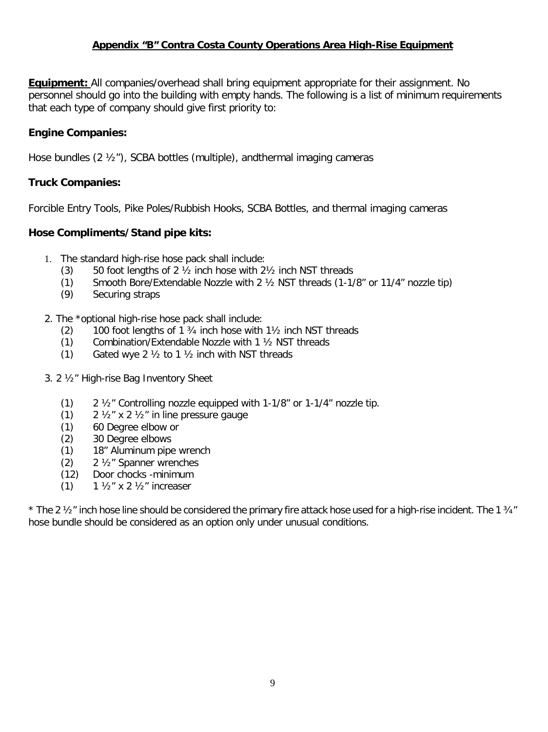#### **Appendix "B" Contra Costa County Operations Area High-Rise Equipment**

**Equipment:** All companies/overhead shall bring equipment appropriate for their assignment. No personnel should go into the building with empty hands. The following is a list of minimum requirements that each type of company should give first priority to:

#### **Engine Companies:**

Hose bundles (2 ½"), SCBA bottles (multiple), andthermal imaging cameras

#### **Truck Companies:**

Forcible Entry Tools, Pike Poles/Rubbish Hooks, SCBA Bottles, and thermal imaging cameras

#### **Hose Compliments/Stand pipe kits:**

- 1. The standard high-rise hose pack shall include:
	- (3) 50 foot lengths of 2 ½ inch hose with 2½ inch NST threads
	- (1) Smooth Bore/Extendable Nozzle with 2 ½ NST threads (1-1/8" or 11/4" nozzle tip)
	- (9) Securing straps
- 2. The \*optional high-rise hose pack shall include:
	- (2) 100 foot lengths of 1  $\frac{3}{4}$  inch hose with 1 $\frac{1}{2}$  inch NST threads
	- (1) Combination/Extendable Nozzle with 1 ½ NST threads
	- (1) Gated wye 2  $\frac{1}{2}$  to 1  $\frac{1}{2}$  inch with NST threads
- 3. 2 ½" High-rise Bag Inventory Sheet
	- (1) 2 ½" Controlling nozzle equipped with 1-1/8" or 1-1/4" nozzle tip.
	- (1)  $2 \frac{1}{2}$   $\frac{1}{2}$   $\frac{1}{2}$   $\frac{1}{2}$  in line pressure gauge
	- (1) 60 Degree elbow or
	- (2) 30 Degree elbows
	- (1) 18" Aluminum pipe wrench
	- (2) 2 ½" Spanner wrenches
	- (12) Door chocks -minimum
	- (1)  $1 \frac{1}{2}$  x 2  $\frac{1}{2}$  increaser

\* The 2 ½" inch hose line should be considered the primary fire attack hose used for a high-rise incident. The 1 ¾" hose bundle should be considered as an option only under unusual conditions.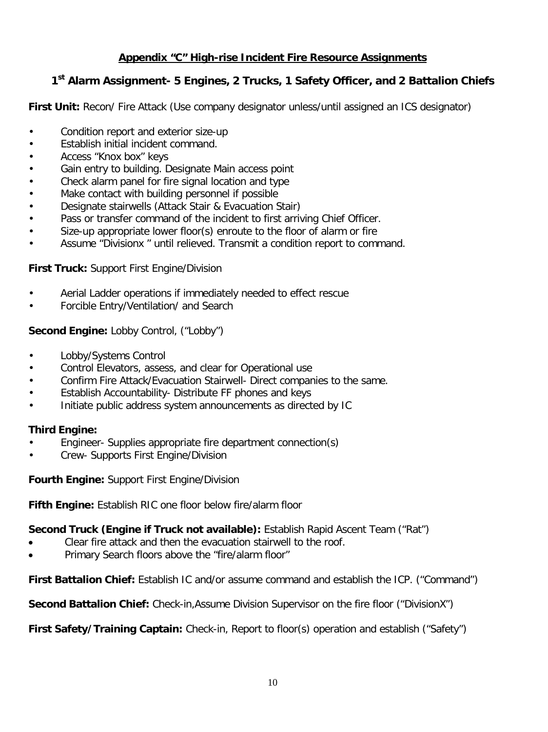#### **Appendix "C" High-rise Incident Fire Resource Assignments**

### **1st Alarm Assignment- 5 Engines, 2 Trucks, 1 Safety Officer, and 2 Battalion Chiefs**

**First Unit:** Recon/ Fire Attack (Use company designator unless/until assigned an ICS designator)

- Condition report and exterior size-up
- Establish initial incident command.
- Access "Knox box" keys
- Gain entry to building. Designate Main access point
- Check alarm panel for fire signal location and type
- Make contact with building personnel if possible
- Designate stairwells (Attack Stair & Evacuation Stair)
- Pass or transfer command of the incident to first arriving Chief Officer.
- Size-up appropriate lower floor(s) enroute to the floor of alarm or fire
- Assume "Divisionx " until relieved. Transmit a condition report to command.

#### **First Truck:** Support First Engine/Division

- Aerial Ladder operations if immediately needed to effect rescue
- Forcible Entry/Ventilation/ and Search

### **Second Engine:** Lobby Control, ("Lobby")

- Lobby/Systems Control
- Control Elevators, assess, and clear for Operational use
- Confirm Fire Attack/Evacuation Stairwell- Direct companies to the same.
- Establish Accountability- Distribute FF phones and keys
- Initiate public address system announcements as directed by IC

#### **Third Engine:**

- Engineer- Supplies appropriate fire department connection(s)
- Crew- Supports First Engine/Division

#### **Fourth Engine:** Support First Engine/Division

**Fifth Engine:** Establish RIC one floor below fire/alarm floor

#### **Second Truck (Engine if Truck not available):** Establish Rapid Ascent Team ("Rat")

- Clear fire attack and then the evacuation stairwell to the roof.
- Primary Search floors above the "fire/alarm floor"

First Battalion Chief: Establish IC and/or assume command and establish the ICP. ("Command")

**Second Battalion Chief:** Check-in,Assume Division Supervisor on the fire floor ("DivisionX")

**First Safety/Training Captain:** Check-in, Report to floor(s) operation and establish ("Safety")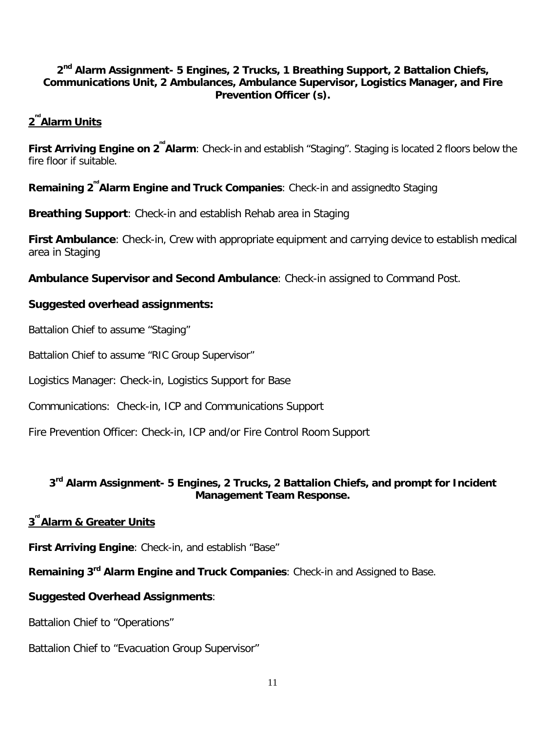#### **2nd Alarm Assignment- 5 Engines, 2 Trucks, 1 Breathing Support, 2 Battalion Chiefs, Communications Unit, 2 Ambulances, Ambulance Supervisor, Logistics Manager, and Fire Prevention Officer (s).**

### $2^{\text{nd}}$ Alarm Units

**First Arriving Engine on 2<sup>nd</sup> Alarm**: Check-in and establish "Staging". Staging is located 2 floors below the fire floor if suitable.

**Remaining 2<sup>nd</sup> Alarm Engine and Truck Companies: Check-in and assignedto Staging** 

**Breathing Support**: Check-in and establish Rehab area in Staging

**First Ambulance**: Check-in, Crew with appropriate equipment and carrying device to establish medical area in Staging

**Ambulance Supervisor and Second Ambulance**: Check-in assigned to Command Post.

### **Suggested overhead assignments:**

Battalion Chief to assume "Staging"

Battalion Chief to assume "RIC Group Supervisor"

Logistics Manager: Check-in, Logistics Support for Base

Communications: Check-in, ICP and Communications Support

Fire Prevention Officer: Check-in, ICP and/or Fire Control Room Support

#### **3rd Alarm Assignment- 5 Engines, 2 Trucks, 2 Battalion Chiefs, and prompt for Incident Management Team Response.**

### **3 rd Alarm & Greater Units**

**First Arriving Engine**: Check-in, and establish "Base"

**Remaining 3rd Alarm Engine and Truck Companies**: Check-in and Assigned to Base.

### **Suggested Overhead Assignments**:

Battalion Chief to "Operations"

Battalion Chief to "Evacuation Group Supervisor"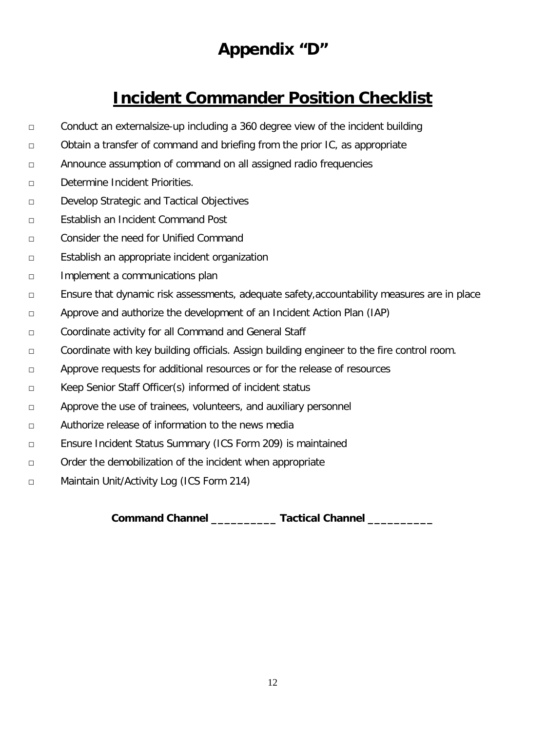# **Appendix "D"**

### **Incident Commander Position Checklist**

- □ Conduct an externalsize-up including a 360 degree view of the incident building
- □ Obtain a transfer of command and briefing from the prior IC, as appropriate
- □ Announce assumption of command on all assigned radio frequencies
- □ Determine Incident Priorities.
- □ Develop Strategic and Tactical Objectives
- □ Establish an Incident Command Post
- □ Consider the need for Unified Command
- □ Establish an appropriate incident organization
- □ Implement a communications plan
- □ Ensure that dynamic risk assessments, adequate safety,accountability measures are in place
- □ Approve and authorize the development of an Incident Action Plan (IAP)
- □ Coordinate activity for all Command and General Staff
- □ Coordinate with key building officials. Assign building engineer to the fire control room.
- □ Approve requests for additional resources or for the release of resources
- □ Keep Senior Staff Officer(s) informed of incident status
- □ Approve the use of trainees, volunteers, and auxiliary personnel
- □ Authorize release of information to the news media
- □ Ensure Incident Status Summary (ICS Form 209) is maintained
- □ Order the demobilization of the incident when appropriate
- □ Maintain Unit/Activity Log (ICS Form 214)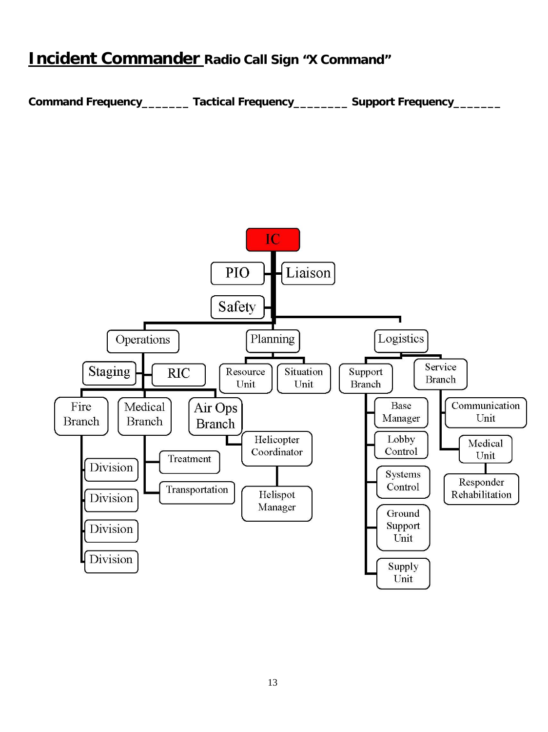### **Incident Commander Radio Call Sign "X Command"**



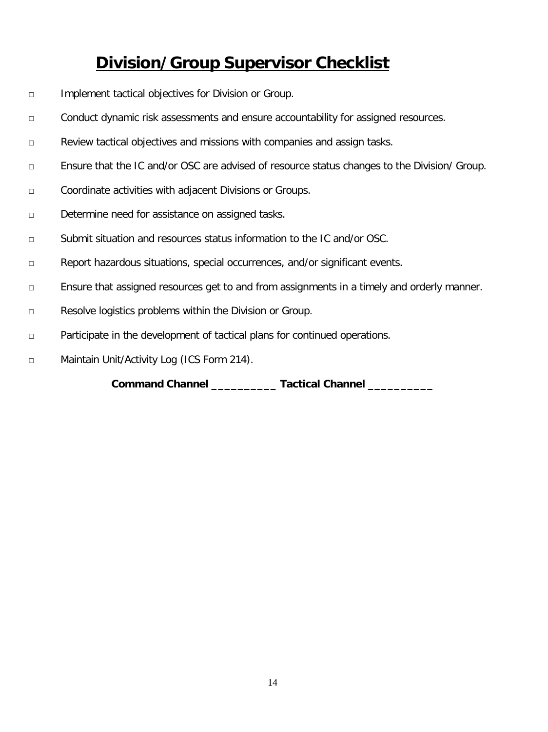### **Division/Group Supervisor Checklist**

- □ Implement tactical objectives for Division or Group.
- □ Conduct dynamic risk assessments and ensure accountability for assigned resources.
- □ Review tactical objectives and missions with companies and assign tasks.
- □ Ensure that the IC and/or OSC are advised of resource status changes to the Division/ Group.
- □ Coordinate activities with adjacent Divisions or Groups.
- □ Determine need for assistance on assigned tasks.
- □ Submit situation and resources status information to the IC and/or OSC.
- □ Report hazardous situations, special occurrences, and/or significant events.
- □ Ensure that assigned resources get to and from assignments in a timely and orderly manner.
- □ Resolve logistics problems within the Division or Group.
- □ Participate in the development of tactical plans for continued operations.
- □ Maintain Unit/Activity Log (ICS Form 214).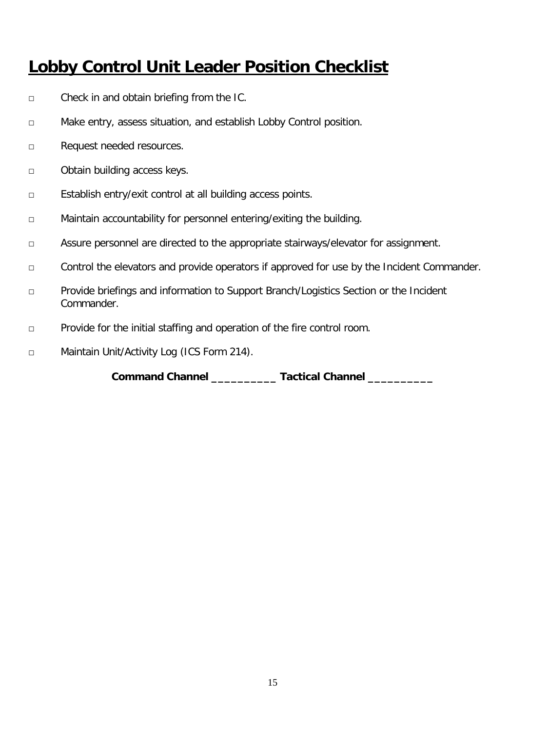# **Lobby Control Unit Leader Position Checklist**

- □ Check in and obtain briefing from the IC.
- □ Make entry, assess situation, and establish Lobby Control position.
- □ Request needed resources.
- □ Obtain building access keys.
- □ Establish entry/exit control at all building access points.
- □ Maintain accountability for personnel entering/exiting the building.
- □ Assure personnel are directed to the appropriate stairways/elevator for assignment.
- □ Control the elevators and provide operators if approved for use by the Incident Commander.
- □ Provide briefings and information to Support Branch/Logistics Section or the Incident Commander.
- □ Provide for the initial staffing and operation of the fire control room.
- □ Maintain Unit/Activity Log (ICS Form 214).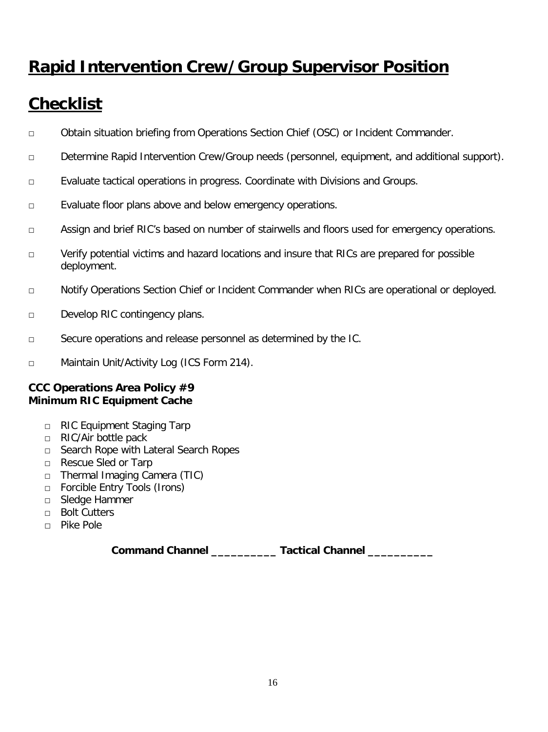# **Rapid Intervention Crew/Group Supervisor Position**

# **Checklist**

- □ Obtain situation briefing from Operations Section Chief (OSC) or Incident Commander.
- □ Determine Rapid Intervention Crew/Group needs (personnel, equipment, and additional support).
- □ Evaluate tactical operations in progress. Coordinate with Divisions and Groups.
- □ Evaluate floor plans above and below emergency operations.
- □ Assign and brief RIC's based on number of stairwells and floors used for emergency operations.
- □ Verify potential victims and hazard locations and insure that RICs are prepared for possible deployment.
- □ Notify Operations Section Chief or Incident Commander when RICs are operational or deployed.
- □ Develop RIC contingency plans.
- □ Secure operations and release personnel as determined by the IC.
- □ Maintain Unit/Activity Log (ICS Form 214).

#### **CCC Operations Area Policy #9 Minimum RIC Equipment Cache**

- □ RIC Equipment Staging Tarp
- □ RIC/Air bottle pack
- □ Search Rope with Lateral Search Ropes
- □ Rescue Sled or Tarp
- □ Thermal Imaging Camera (TIC)
- □ Forcible Entry Tools (Irons)
- □ Sledge Hammer
- □ Bolt Cutters
- □ Pike Pole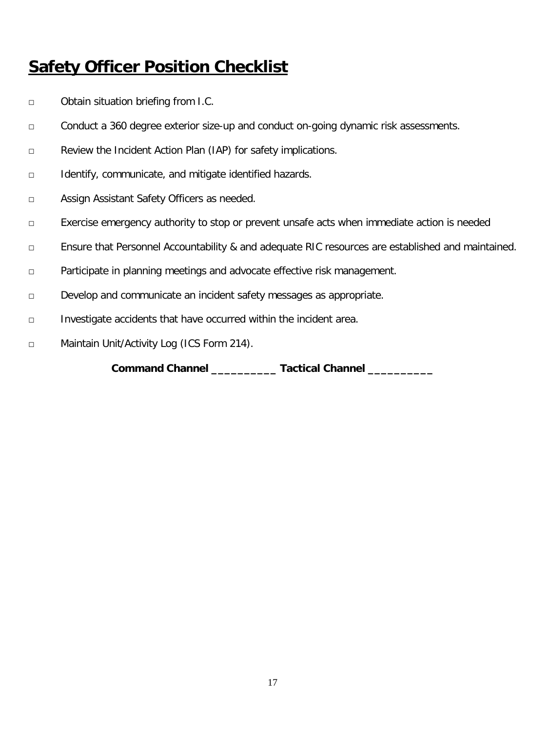# **Safety Officer Position Checklist**

- □ Obtain situation briefing from I.C.
- □ Conduct a 360 degree exterior size-up and conduct on-going dynamic risk assessments.
- □ Review the Incident Action Plan (IAP) for safety implications.
- □ Identify, communicate, and mitigate identified hazards.
- □ Assign Assistant Safety Officers as needed.
- □ Exercise emergency authority to stop or prevent unsafe acts when immediate action is needed
- □ Ensure that Personnel Accountability & and adequate RIC resources are established and maintained.
- □ Participate in planning meetings and advocate effective risk management.
- □ Develop and communicate an incident safety messages as appropriate.
- □ Investigate accidents that have occurred within the incident area.
- □ Maintain Unit/Activity Log (ICS Form 214).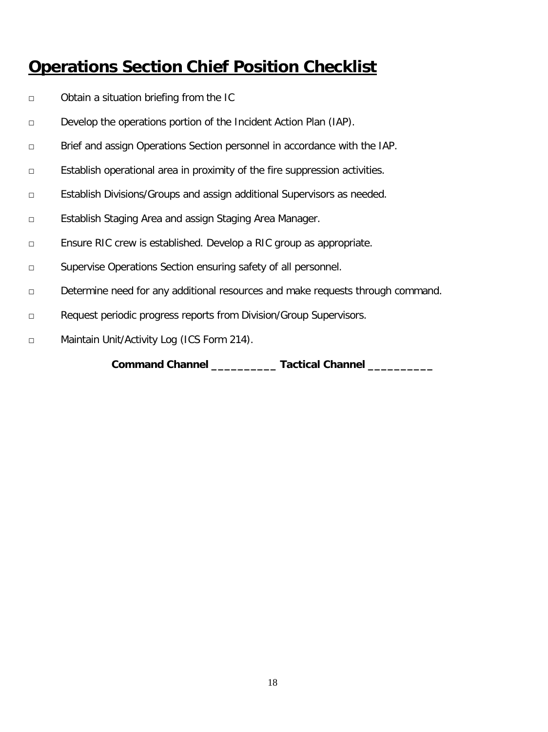# **Operations Section Chief Position Checklist**

- □ Obtain a situation briefing from the IC
- □ Develop the operations portion of the Incident Action Plan (IAP).
- □ Brief and assign Operations Section personnel in accordance with the IAP.
- □ Establish operational area in proximity of the fire suppression activities.
- □ Establish Divisions/Groups and assign additional Supervisors as needed.
- □ Establish Staging Area and assign Staging Area Manager.
- □ Ensure RIC crew is established. Develop a RIC group as appropriate.
- □ Supervise Operations Section ensuring safety of all personnel.
- □ Determine need for any additional resources and make requests through command.
- □ Request periodic progress reports from Division/Group Supervisors.
- □ Maintain Unit/Activity Log (ICS Form 214).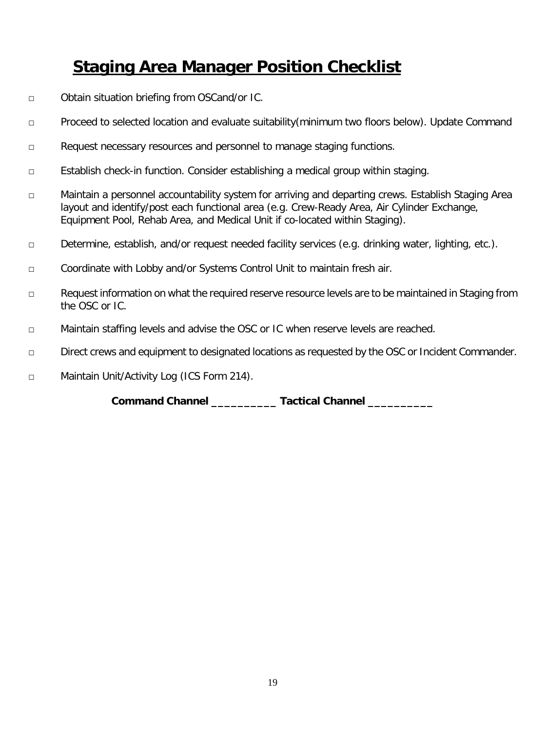# **Staging Area Manager Position Checklist**

- □ Obtain situation briefing from OSCand/or IC.
- □ Proceed to selected location and evaluate suitability(minimum two floors below). Update Command
- □ Request necessary resources and personnel to manage staging functions.
- □ Establish check-in function. Consider establishing a medical group within staging.
- □ Maintain a personnel accountability system for arriving and departing crews. Establish Staging Area layout and identify/post each functional area (e.g. Crew-Ready Area, Air Cylinder Exchange, Equipment Pool, Rehab Area, and Medical Unit if co-located within Staging).
- □ Determine, establish, and/or request needed facility services (e.g. drinking water, lighting, etc.).
- □ Coordinate with Lobby and/or Systems Control Unit to maintain fresh air.
- □ Request information on what the required reserve resource levels are to be maintained in Staging from the OSC or IC.
- □ Maintain staffing levels and advise the OSC or IC when reserve levels are reached.
- □ Direct crews and equipment to designated locations as requested by the OSC or Incident Commander.
- □ Maintain Unit/Activity Log (ICS Form 214).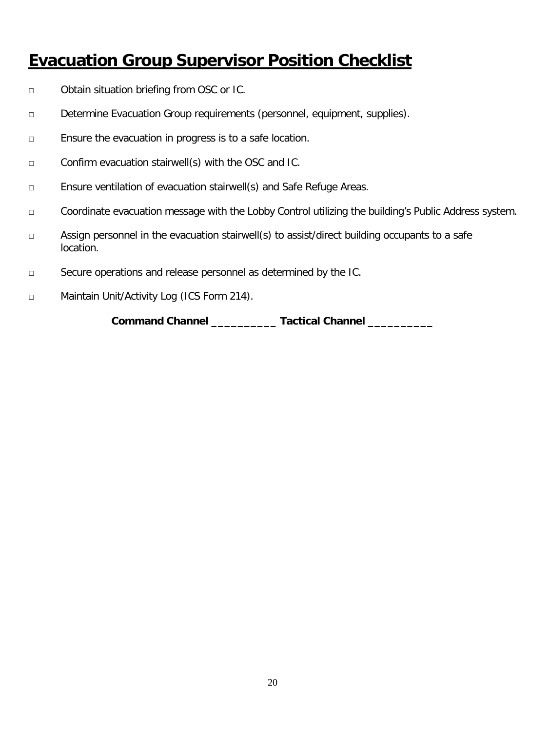# **Evacuation Group Supervisor Position Checklist**

- □ Obtain situation briefing from OSC or IC.
- □ Determine Evacuation Group requirements (personnel, equipment, supplies).
- □ Ensure the evacuation in progress is to a safe location.
- □ Confirm evacuation stairwell(s) with the OSC and IC.
- □ Ensure ventilation of evacuation stairwell(s) and Safe Refuge Areas.
- □ Coordinate evacuation message with the Lobby Control utilizing the building's Public Address system.
- □ Assign personnel in the evacuation stairwell(s) to assist/direct building occupants to a safe location.
- □ Secure operations and release personnel as determined by the IC.
- □ Maintain Unit/Activity Log (ICS Form 214).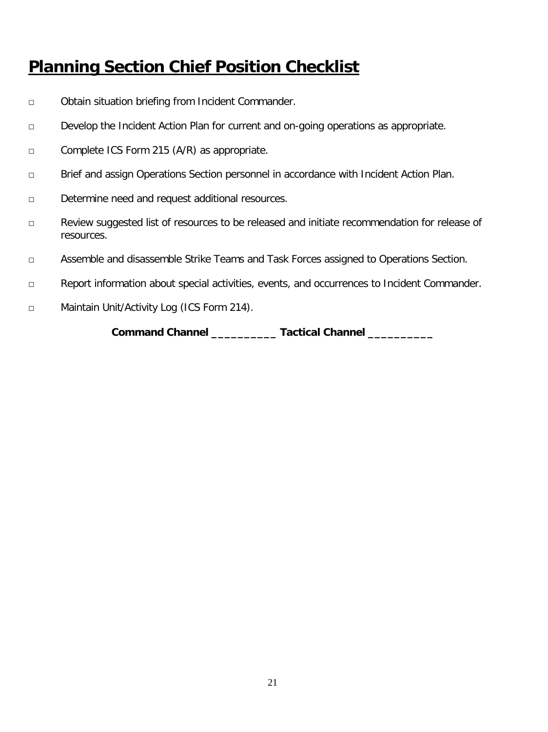### **Planning Section Chief Position Checklist**

- □ Obtain situation briefing from Incident Commander.
- □ Develop the Incident Action Plan for current and on-going operations as appropriate.
- □ Complete ICS Form 215 (A/R) as appropriate.
- □ Brief and assign Operations Section personnel in accordance with Incident Action Plan.
- □ Determine need and request additional resources.
- □ Review suggested list of resources to be released and initiate recommendation for release of resources.
- □ Assemble and disassemble Strike Teams and Task Forces assigned to Operations Section.
- □ Report information about special activities, events, and occurrences to Incident Commander.
- □ Maintain Unit/Activity Log (ICS Form 214).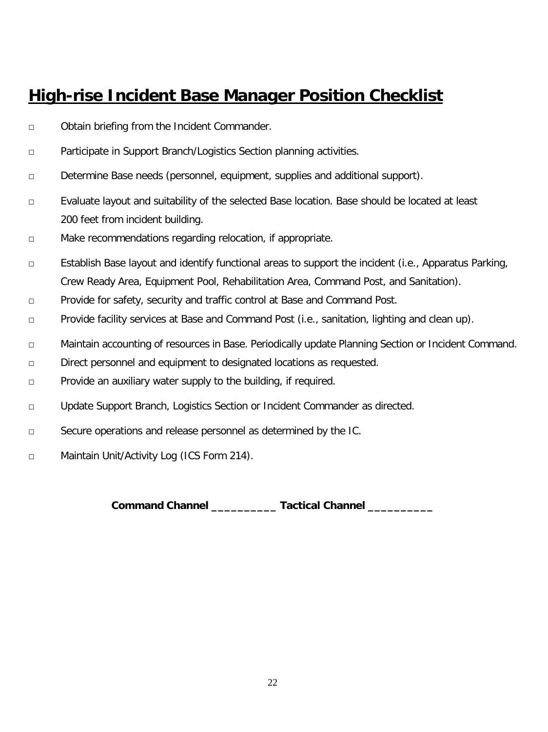# **High-rise Incident Base Manager Position Checklist**

- □ Obtain briefing from the Incident Commander.
- □ Participate in Support Branch/Logistics Section planning activities.
- □ Determine Base needs (personnel, equipment, supplies and additional support).
- □ Evaluate layout and suitability of the selected Base location. Base should be located at least 200 feet from incident building.
- □ Make recommendations regarding relocation, if appropriate.
- □ Establish Base layout and identify functional areas to support the incident (i.e., Apparatus Parking, Crew Ready Area, Equipment Pool, Rehabilitation Area, Command Post, and Sanitation).
- □ Provide for safety, security and traffic control at Base and Command Post.
- □ Provide facility services at Base and Command Post (i.e., sanitation, lighting and clean up).
- □ Maintain accounting of resources in Base. Periodically update Planning Section or Incident Command.
- □ Direct personnel and equipment to designated locations as requested.
- □ Provide an auxiliary water supply to the building, if required.
- □ Update Support Branch, Logistics Section or Incident Commander as directed.
- □ Secure operations and release personnel as determined by the IC.
- □ Maintain Unit/Activity Log (ICS Form 214).